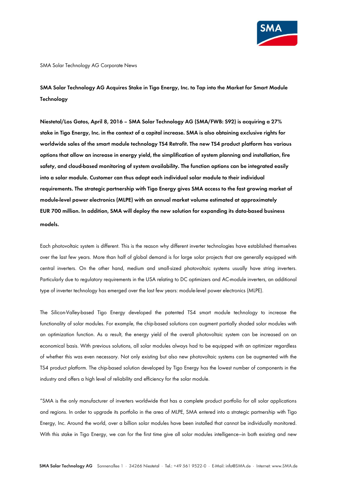

SMA Solar Technology AG Corporate News

**SMA Solar Technology AG Acquires Stake in Tigo Energy, Inc. to Tap into the Market for Smart Module Technology** 

**Niestetal/Los Gatos, April 8, 2016 – SMA Solar Technology AG (SMA/FWB: S92) is acquiring a 27% stake in Tigo Energy, Inc. in the context of a capital increase. SMA is also obtaining exclusive rights for worldwide sales of the smart module technology TS4 Retrofit. The new TS4 product platform has various options that allow an increase in energy yield, the simplification of system planning and installation, fire safety, and cloud-based monitoring of system availability. The function options can be integrated easily into a solar module. Customer can thus adapt each individual solar module to their individual requirements. The strategic partnership with Tigo Energy gives SMA access to the fast growing market of module-level power electronics (MLPE) with an annual market volume estimated at approximately EUR 700 million. In addition, SMA will deploy the new solution for expanding its data-based business models.** 

Each photovoltaic system is different. This is the reason why different inverter technologies have established themselves over the last few years. More than half of global demand is for large solar projects that are generally equipped with central inverters. On the other hand, medium and small-sized photovoltaic systems usually have string inverters. Particularly due to regulatory requirements in the USA relating to DC optimizers and AC-module inverters, an additional type of inverter technology has emerged over the last few years: module-level power electronics (MLPE).

The Silicon-Valley-based Tigo Energy developed the patented TS4 smart module technology to increase the functionality of solar modules. For example, the chip-based solutions can augment partially shaded solar modules with an optimization function. As a result, the energy yield of the overall photovoltaic system can be increased on an economical basis. With previous solutions, all solar modules always had to be equipped with an optimizer regardless of whether this was even necessary. Not only existing but also new photovoltaic systems can be augmented with the TS4 product platform. The chip-based solution developed by Tigo Energy has the lowest number of components in the industry and offers a high level of reliability and efficiency for the solar module.

"SMA is the only manufacturer of inverters worldwide that has a complete product portfolio for all solar applications and regions. In order to upgrade its portfolio in the area of MLPE, SMA entered into a strategic partnership with Tigo Energy, Inc. Around the world, over a billion solar modules have been installed that cannot be individually monitored. With this stake in Tigo Energy, we can for the first time give all solar modules intelligence—in both existing and new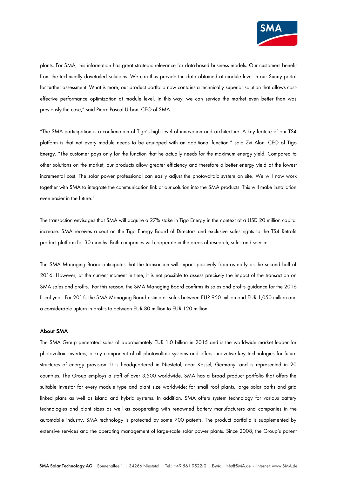

plants. For SMA, this information has great strategic relevance for data-based business models. Our customers benefit from the technically dovetailed solutions. We can thus provide the data obtained at module level in our Sunny portal for further assessment. What is more, our product portfolio now contains a technically superior solution that allows costeffective performance optimization at module level. In this way, we can service the market even better than was previously the case," said Pierre-Pascal Urbon, CEO of SMA.

"The SMA participation is a confirmation of Tigo's high level of innovation and architecture. A key feature of our TS4 platform is that not every module needs to be equipped with an additional function," said Zvi Alon, CEO of Tigo Energy. "The customer pays only for the function that he actually needs for the maximum energy yield. Compared to other solutions on the market, our products allow greater efficiency and therefore a better energy yield at the lowest incremental cost. The solar power professional can easily adjust the photovoltaic system on site. We will now work together with SMA to integrate the communication link of our solution into the SMA products. This will make installation even easier in the future."

The transaction envisages that SMA will acquire a 27% stake in Tigo Energy in the context of a USD 20 million capital increase. SMA receives a seat on the Tigo Energy Board of Directors and exclusive sales rights to the TS4 Retrofit product platform for 30 months. Both companies will cooperate in the areas of research, sales and service.

The SMA Managing Board anticipates that the transaction will impact positively from as early as the second half of 2016. However, at the current moment in time, it is not possible to assess precisely the impact of the transaction on SMA sales and profits. For this reason, the SMA Managing Board confirms its sales and profits guidance for the 2016 fiscal year. For 2016, the SMA Managing Board estimates sales between EUR 950 million and EUR 1,050 million and a considerable upturn in profits to between EUR 80 million to EUR 120 million.

### **About SMA**

The SMA Group generated sales of approximately EUR 1.0 billion in 2015 and is the worldwide market leader for photovoltaic inverters, a key component of all photovoltaic systems and offers innovative key technologies for future structures of energy provision. It is headquartered in Niestetal, near Kassel, Germany, and is represented in 20 countries. The Group employs a staff of over 3,500 worldwide. SMA has a broad product portfolio that offers the suitable investor for every module type and plant size worldwide: for small roof plants, large solar parks and grid linked plans as well as island and hybrid systems. In addition, SMA offers system technology for various battery technologies and plant sizes as well as cooperating with renowned battery manufacturers and companies in the automobile industry. SMA technology is protected by some 700 patents. The product portfolio is supplemented by extensive services and the operating management of large-scale solar power plants. Since 2008, the Group's parent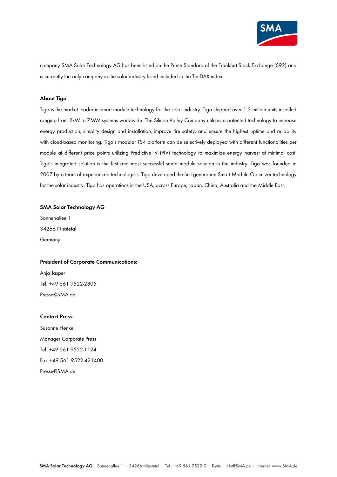

company SMA Solar Technology AG has been listed on the Prime Standard of the Frankfurt Stock Exchange (S92) and is currently the only company in the solar industry listed included in the TecDAX index.

# **About Tigo**

Tigo is the market leader in smart module technology for the solar industry. Tigo shipped over 1.2 million units installed ranging from 2kW to 7MW systems worldwide. The Silicon Valley Company utilizes a patented technology to increase energy production, simplify design and installation, improve fire safety, and ensure the highest uptime and reliability with cloud-based monitoring. Tigo's modular TS4 platform can be selectively deployed with different functionalities per module at different price points utilizing Predictive IV (PIV) technology to maximize energy harvest at minimal cost. Tigo's integrated solution is the first and most successful smart module solution in the industry. Tigo was founded in 2007 by a team of experienced technologists. Tigo developed the first generation Smart Module Optimizer technology for the solar industry. Tigo has operations in the USA, across Europe, Japan, China, Australia and the Middle East.

# **SMA Solar Technology AG**

Sonnenallee 1 34266 Niestetal Germany

#### **President of Corporate Communications:**

Anja Jasper Tel. +49 561 9522-2805 Presse@SMA.de

#### **Contact Press:**

Susanne Henkel Manager Corporate Press Tel. +49 561 9522-1124 Fax +49 561 9522-421400 Presse@SMA.de